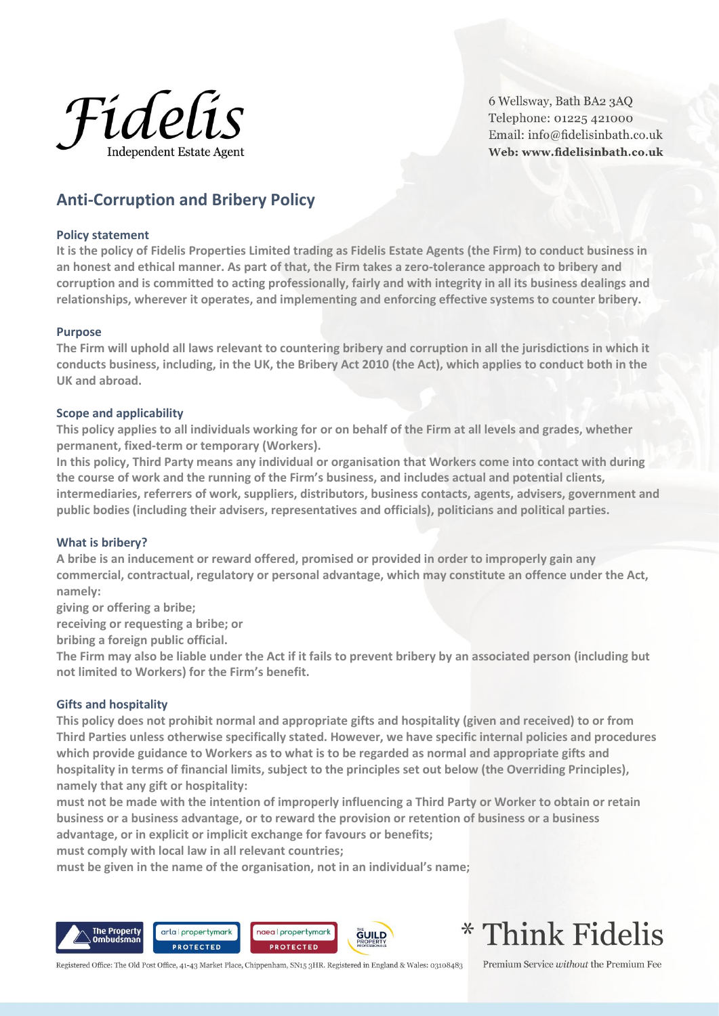

6 Wellsway, Bath BA2 3AO Telephone: 01225 421000 Email: info@fidelisinbath.co.uk Web: www.fidelisinbath.co.uk

# **Anti-Corruption and Bribery Policy**

## **Policy statement**

**It is the policy of Fidelis Properties Limited trading as Fidelis Estate Agents (the Firm) to conduct business in an honest and ethical manner. As part of that, the Firm takes a zero-tolerance approach to bribery and corruption and is committed to acting professionally, fairly and with integrity in all its business dealings and relationships, wherever it operates, and implementing and enforcing effective systems to counter bribery.**

#### **Purpose**

**The Firm will uphold all laws relevant to countering bribery and corruption in all the jurisdictions in which it conducts business, including, in the UK, the Bribery Act 2010 (the Act), which applies to conduct both in the UK and abroad.**

## **Scope and applicability**

**This policy applies to all individuals working for or on behalf of the Firm at all levels and grades, whether permanent, fixed-term or temporary (Workers).**

**In this policy, Third Party means any individual or organisation that Workers come into contact with during the course of work and the running of the Firm's business, and includes actual and potential clients, intermediaries, referrers of work, suppliers, distributors, business contacts, agents, advisers, government and public bodies (including their advisers, representatives and officials), politicians and political parties.**

## **What is bribery?**

**A bribe is an inducement or reward offered, promised or provided in order to improperly gain any commercial, contractual, regulatory or personal advantage, which may constitute an offence under the Act, namely:**

**giving or offering a bribe;**

**receiving or requesting a bribe; or**

**bribing a foreign public official.**

**The Firm may also be liable under the Act if it fails to prevent bribery by an associated person (including but not limited to Workers) for the Firm's benefit.**

#### **Gifts and hospitality**

**This policy does not prohibit normal and appropriate gifts and hospitality (given and received) to or from Third Parties unless otherwise specifically stated. However, we have specific internal policies and procedures which provide guidance to Workers as to what is to be regarded as normal and appropriate gifts and hospitality in terms of financial limits, subject to the principles set out below (the Overriding Principles), namely that any gift or hospitality:**

**must not be made with the intention of improperly influencing a Third Party or Worker to obtain or retain business or a business advantage, or to reward the provision or retention of business or a business advantage, or in explicit or implicit exchange for favours or benefits;**

**must comply with local law in all relevant countries;**

**must be given in the name of the organisation, not in an individual's name;**



\* Think Fidelis

Registered Office: The Old Post Office, 41-43 Market Place, Chippenham, SN15 3HR. Registered in England & Wales: 03108483

Premium Service without the Premium Fee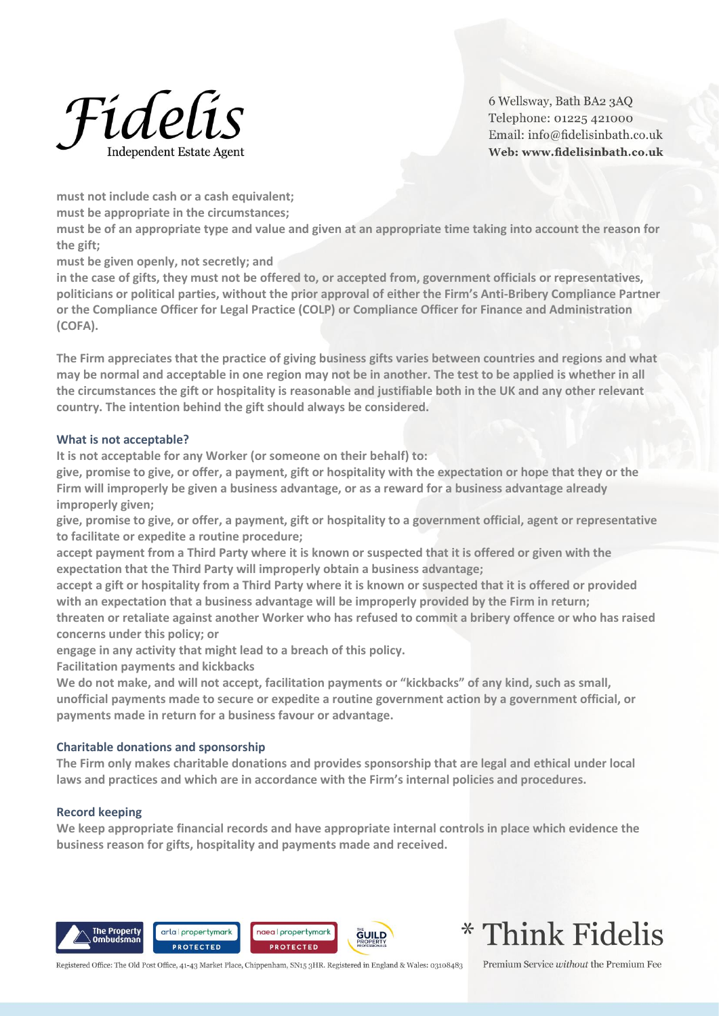

6 Wellsway, Bath BA2 3AO Telephone: 01225 421000 Email: info@fidelisinbath.co.uk Web: www.fidelisinbath.co.uk

**must not include cash or a cash equivalent;**

**must be appropriate in the circumstances;**

**must be of an appropriate type and value and given at an appropriate time taking into account the reason for the gift;**

**must be given openly, not secretly; and**

**in the case of gifts, they must not be offered to, or accepted from, government officials or representatives, politicians or political parties, without the prior approval of either the Firm's Anti-Bribery Compliance Partner or the Compliance Officer for Legal Practice (COLP) or Compliance Officer for Finance and Administration (COFA).**

**The Firm appreciates that the practice of giving business gifts varies between countries and regions and what may be normal and acceptable in one region may not be in another. The test to be applied is whether in all the circumstances the gift or hospitality is reasonable and justifiable both in the UK and any other relevant country. The intention behind the gift should always be considered.**

# **What is not acceptable?**

**It is not acceptable for any Worker (or someone on their behalf) to:**

**give, promise to give, or offer, a payment, gift or hospitality with the expectation or hope that they or the Firm will improperly be given a business advantage, or as a reward for a business advantage already improperly given;**

**give, promise to give, or offer, a payment, gift or hospitality to a government official, agent or representative to facilitate or expedite a routine procedure;**

**accept payment from a Third Party where it is known or suspected that it is offered or given with the expectation that the Third Party will improperly obtain a business advantage;**

**accept a gift or hospitality from a Third Party where it is known or suspected that it is offered or provided with an expectation that a business advantage will be improperly provided by the Firm in return;**

**threaten or retaliate against another Worker who has refused to commit a bribery offence or who has raised concerns under this policy; or**

**engage in any activity that might lead to a breach of this policy.**

**Facilitation payments and kickbacks**

**We do not make, and will not accept, facilitation payments or "kickbacks" of any kind, such as small, unofficial payments made to secure or expedite a routine government action by a government official, or payments made in return for a business favour or advantage.**

# **Charitable donations and sponsorship**

**The Firm only makes charitable donations and provides sponsorship that are legal and ethical under local laws and practices and which are in accordance with the Firm's internal policies and procedures.**

# **Record keeping**

**We keep appropriate financial records and have appropriate internal controls in place which evidence the business reason for gifts, hospitality and payments made and received.**









Registered Office: The Old Post Office, 41-43 Market Place, Chippenham, SN15 3HR. Registered in England & Wales: 03108483

Premium Service without the Premium Fee